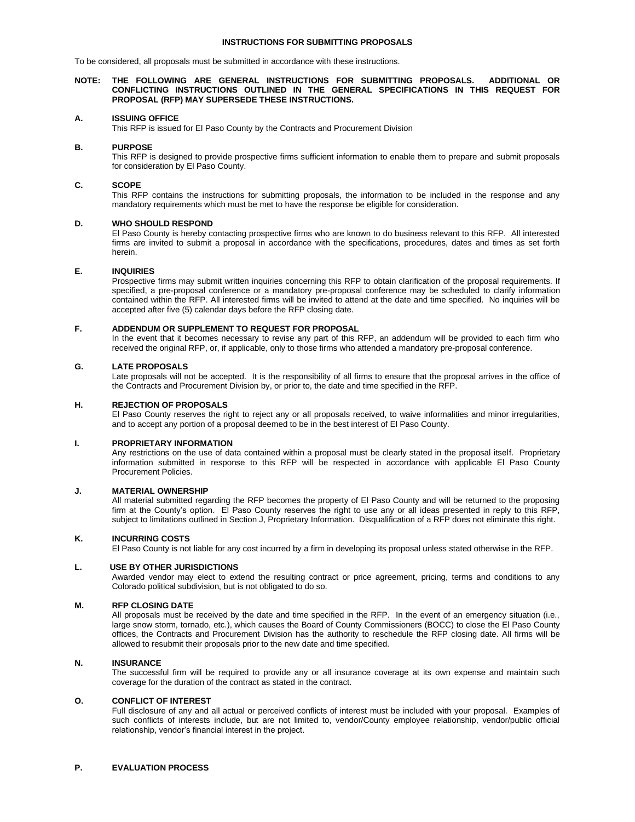### **INSTRUCTIONS FOR SUBMITTING PROPOSALS**

To be considered, all proposals must be submitted in accordance with these instructions.

### **NOTE: THE FOLLOWING ARE GENERAL INSTRUCTIONS FOR SUBMITTING PROPOSALS. ADDITIONAL OR CONFLICTING INSTRUCTIONS OUTLINED IN THE GENERAL SPECIFICATIONS IN THIS REQUEST FOR PROPOSAL (RFP) MAY SUPERSEDE THESE INSTRUCTIONS.**

# **A. ISSUING OFFICE**

This RFP is issued for El Paso County by the Contracts and Procurement Division

### **B. PURPOSE**

This RFP is designed to provide prospective firms sufficient information to enable them to prepare and submit proposals for consideration by El Paso County.

### **C. SCOPE**

This RFP contains the instructions for submitting proposals, the information to be included in the response and any mandatory requirements which must be met to have the response be eligible for consideration.

# **D. WHO SHOULD RESPOND**

El Paso County is hereby contacting prospective firms who are known to do business relevant to this RFP. All interested firms are invited to submit a proposal in accordance with the specifications, procedures, dates and times as set forth herein.

# **E. INQUIRIES**

Prospective firms may submit written inquiries concerning this RFP to obtain clarification of the proposal requirements. If specified, a pre-proposal conference or a mandatory pre-proposal conference may be scheduled to clarify information contained within the RFP. All interested firms will be invited to attend at the date and time specified. No inquiries will be accepted after five (5) calendar days before the RFP closing date.

# **F. ADDENDUM OR SUPPLEMENT TO REQUEST FOR PROPOSAL**

In the event that it becomes necessary to revise any part of this RFP, an addendum will be provided to each firm who received the original RFP, or, if applicable, only to those firms who attended a mandatory pre-proposal conference.

# **G. LATE PROPOSALS**

Late proposals will not be accepted. It is the responsibility of all firms to ensure that the proposal arrives in the office of the Contracts and Procurement Division by, or prior to, the date and time specified in the RFP.

### **H. REJECTION OF PROPOSALS**

El Paso County reserves the right to reject any or all proposals received, to waive informalities and minor irregularities, and to accept any portion of a proposal deemed to be in the best interest of El Paso County.

### **I. PROPRIETARY INFORMATION**

Any restrictions on the use of data contained within a proposal must be clearly stated in the proposal itself. Proprietary information submitted in response to this RFP will be respected in accordance with applicable El Paso County Procurement Policies.

# **J. MATERIAL OWNERSHIP**

All material submitted regarding the RFP becomes the property of El Paso County and will be returned to the proposing firm at the County's option. El Paso County reserves the right to use any or all ideas presented in reply to this RFP, subject to limitations outlined in Section J, Proprietary Information. Disqualification of a RFP does not eliminate this right.

### **K. INCURRING COSTS**

El Paso County is not liable for any cost incurred by a firm in developing its proposal unless stated otherwise in the RFP.

# **L. USE BY OTHER JURISDICTIONS**

Awarded vendor may elect to extend the resulting contract or price agreement, pricing, terms and conditions to any Colorado political subdivision, but is not obligated to do so.

# **M. RFP CLOSING DATE**

All proposals must be received by the date and time specified in the RFP. In the event of an emergency situation (i.e., large snow storm, tornado, etc.), which causes the Board of County Commissioners (BOCC) to close the El Paso County offices, the Contracts and Procurement Division has the authority to reschedule the RFP closing date. All firms will be allowed to resubmit their proposals prior to the new date and time specified.

### **N. INSURANCE**

The successful firm will be required to provide any or all insurance coverage at its own expense and maintain such coverage for the duration of the contract as stated in the contract.

# **O. CONFLICT OF INTEREST**

Full disclosure of any and all actual or perceived conflicts of interest must be included with your proposal. Examples of such conflicts of interests include, but are not limited to, vendor/County employee relationship, vendor/public official relationship, vendor's financial interest in the project.

# **P. EVALUATION PROCESS**